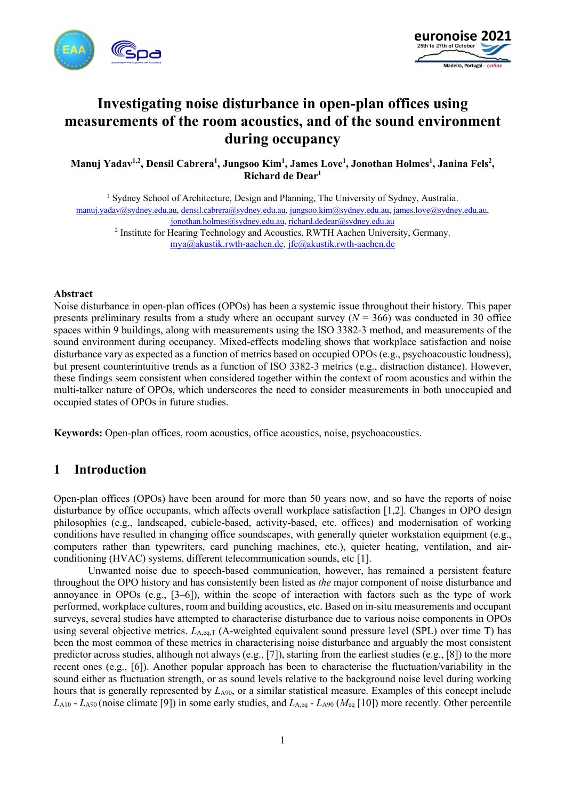



# **Investigating noise disturbance in open-plan offices using measurements of the room acoustics, and of the sound environment during occupancy**

**Manuj Yadav1,2, Densil Cabrera1 , Jungsoo Kim1 , James Love1 , Jonothan Holmes<sup>1</sup> , Janina Fels2 , Richard de Dear1**

<sup>1</sup> Sydney School of Architecture, Design and Planning, The University of Sydney, Australia. manuj.yadav@sydney.edu.au, densil.cabrera@sydney.edu.au, jungsoo.kim@sydney.edu.au, james.love@sydney.edu.au, jonothan.holmes@sydney.edu.au, richard.dedear@sydney.edu.au

<sup>2</sup> Institute for Hearing Technology and Acoustics, RWTH Aachen University, Germany. mya@akustik.rwth-aachen.de, jfe@akustik.rwth-aachen.de

#### **Abstract**

Noise disturbance in open-plan offices (OPOs) has been a systemic issue throughout their history. This paper presents preliminary results from a study where an occupant survey  $(N = 366)$  was conducted in 30 office spaces within 9 buildings, along with measurements using the ISO 3382-3 method, and measurements of the sound environment during occupancy. Mixed-effects modeling shows that workplace satisfaction and noise disturbance vary as expected as a function of metrics based on occupied OPOs (e.g., psychoacoustic loudness), but present counterintuitive trends as a function of ISO 3382-3 metrics (e.g., distraction distance). However, these findings seem consistent when considered together within the context of room acoustics and within the multi-talker nature of OPOs, which underscores the need to consider measurements in both unoccupied and occupied states of OPOs in future studies.

**Keywords:** Open-plan offices, room acoustics, office acoustics, noise, psychoacoustics.

# **1 Introduction**

Open-plan offices (OPOs) have been around for more than 50 years now, and so have the reports of noise disturbance by office occupants, which affects overall workplace satisfaction [1,2]. Changes in OPO design philosophies (e.g., landscaped, cubicle-based, activity-based, etc. offices) and modernisation of working conditions have resulted in changing office soundscapes, with generally quieter workstation equipment (e.g., computers rather than typewriters, card punching machines, etc.), quieter heating, ventilation, and airconditioning (HVAC) systems, different telecommunication sounds, etc [1].

Unwanted noise due to speech-based communication, however, has remained a persistent feature throughout the OPO history and has consistently been listed as *the* major component of noise disturbance and annoyance in OPOs (e.g., [3–6]), within the scope of interaction with factors such as the type of work performed, workplace cultures, room and building acoustics, etc. Based on in-situ measurements and occupant surveys, several studies have attempted to characterise disturbance due to various noise components in OPOs using several objective metrics.  $L_{A,eq,T}$  (A-weighted equivalent sound pressure level (SPL) over time T) has been the most common of these metrics in characterising noise disturbance and arguably the most consistent predictor across studies, although not always (e.g., [7]), starting from the earliest studies (e.g., [8]) to the more recent ones (e.g., [6]). Another popular approach has been to characterise the fluctuation/variability in the sound either as fluctuation strength, or as sound levels relative to the background noise level during working hours that is generally represented by  $L_{A90}$ , or a similar statistical measure. Examples of this concept include *L*A10 - *L*A90 (noise climate [9]) in some early studies, and *L*A,eq - *L*A90 (*M*eq [10]) more recently. Other percentile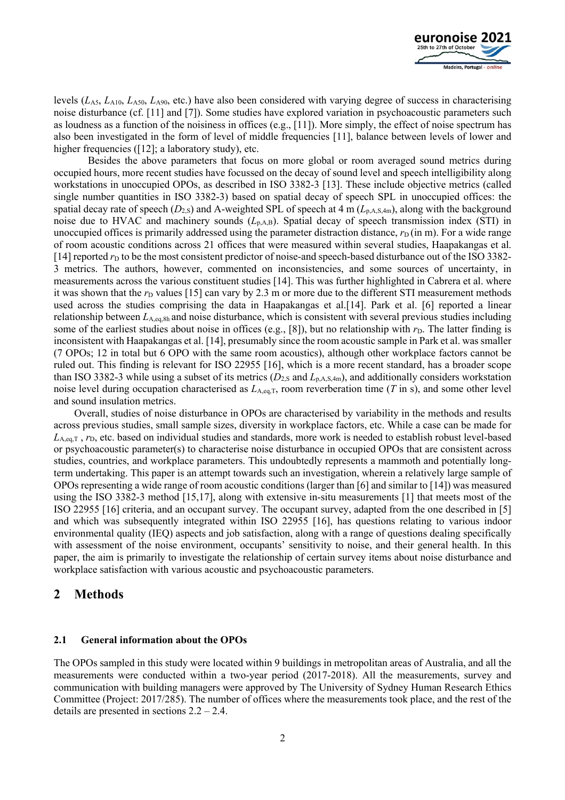

levels (*L*A5, *L*A10, *L*A50, *L*A90, etc.) have also been considered with varying degree of success in characterising noise disturbance (cf. [11] and [7]). Some studies have explored variation in psychoacoustic parameters such as loudness as a function of the noisiness in offices (e.g., [11]). More simply, the effect of noise spectrum has also been investigated in the form of level of middle frequencies [11], balance between levels of lower and higher frequencies ([12]; a laboratory study), etc.

Besides the above parameters that focus on more global or room averaged sound metrics during occupied hours, more recent studies have focussed on the decay of sound level and speech intelligibility along workstations in unoccupied OPOs, as described in ISO 3382-3 [13]. These include objective metrics (called single number quantities in ISO 3382-3) based on spatial decay of speech SPL in unoccupied offices: the spatial decay rate of speech  $(D_{2,S})$  and A-weighted SPL of speech at 4 m  $(L_{p,A,S,4m})$ , along with the background noise due to HVAC and machinery sounds  $(L_{p,A,B})$ . Spatial decay of speech transmission index (STI) in unoccupied offices is primarily addressed using the parameter distraction distance,  $r_D$  (in m). For a wide range of room acoustic conditions across 21 offices that were measured within several studies, Haapakangas et al. [14] reported  $r<sub>D</sub>$  to be the most consistent predictor of noise-and speech-based disturbance out of the ISO 3382-3 metrics. The authors, however, commented on inconsistencies, and some sources of uncertainty, in measurements across the various constituent studies [14]. This was further highlighted in Cabrera et al. where it was shown that the  $r<sub>D</sub>$  values [15] can vary by 2.3 m or more due to the different STI measurement methods used across the studies comprising the data in Haapakangas et al.[14]. Park et al. [6] reported a linear relationship between *L*A,eq,8h and noise disturbance, which is consistent with several previous studies including some of the earliest studies about noise in offices (e.g., [8]), but no relationship with  $r<sub>D</sub>$ . The latter finding is inconsistent with Haapakangas et al. [14], presumably since the room acoustic sample in Park et al. was smaller (7 OPOs; 12 in total but 6 OPO with the same room acoustics), although other workplace factors cannot be ruled out. This finding is relevant for ISO 22955 [16], which is a more recent standard, has a broader scope than ISO 3382-3 while using a subset of its metrics  $(D_{2,s}$  and  $L_{p,A,s,4m}$ ), and additionally considers workstation noise level during occupation characterised as *L*A,eq,T, room reverberation time (*T* in s), and some other level and sound insulation metrics.

Overall, studies of noise disturbance in OPOs are characterised by variability in the methods and results across previous studies, small sample sizes, diversity in workplace factors, etc. While a case can be made for *L*A,eq,T , *r*D, etc. based on individual studies and standards, more work is needed to establish robust level-based or psychoacoustic parameter(s) to characterise noise disturbance in occupied OPOs that are consistent across studies, countries, and workplace parameters. This undoubtedly represents a mammoth and potentially longterm undertaking. This paper is an attempt towards such an investigation, wherein a relatively large sample of OPOs representing a wide range of room acoustic conditions (larger than [6] and similar to [14]) was measured using the ISO 3382-3 method [15,17], along with extensive in-situ measurements [1] that meets most of the ISO 22955 [16] criteria, and an occupant survey. The occupant survey, adapted from the one described in [5] and which was subsequently integrated within ISO 22955 [16], has questions relating to various indoor environmental quality (IEQ) aspects and job satisfaction, along with a range of questions dealing specifically with assessment of the noise environment, occupants' sensitivity to noise, and their general health. In this paper, the aim is primarily to investigate the relationship of certain survey items about noise disturbance and workplace satisfaction with various acoustic and psychoacoustic parameters.

### **2 Methods**

#### **2.1 General information about the OPOs**

The OPOs sampled in this study were located within 9 buildings in metropolitan areas of Australia, and all the measurements were conducted within a two-year period (2017-2018). All the measurements, survey and communication with building managers were approved by The University of Sydney Human Research Ethics Committee (Project: 2017/285). The number of offices where the measurements took place, and the rest of the details are presented in sections 2.2 – 2.4.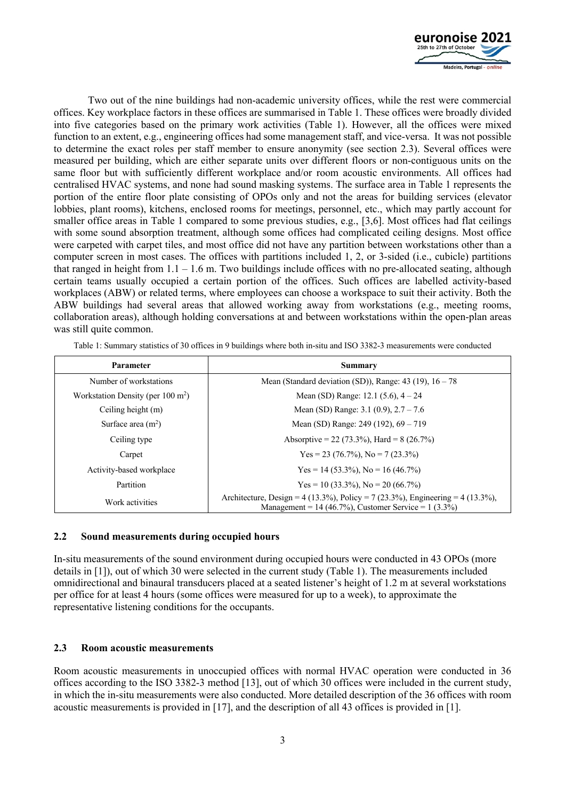

Two out of the nine buildings had non-academic university offices, while the rest were commercial offices. Key workplace factors in these offices are summarised in Table 1. These offices were broadly divided into five categories based on the primary work activities (Table 1). However, all the offices were mixed function to an extent, e.g., engineering offices had some management staff, and vice-versa. It was not possible to determine the exact roles per staff member to ensure anonymity (see section 2.3). Several offices were measured per building, which are either separate units over different floors or non-contiguous units on the same floor but with sufficiently different workplace and/or room acoustic environments. All offices had centralised HVAC systems, and none had sound masking systems. The surface area in Table 1 represents the portion of the entire floor plate consisting of OPOs only and not the areas for building services (elevator lobbies, plant rooms), kitchens, enclosed rooms for meetings, personnel, etc., which may partly account for smaller office areas in Table 1 compared to some previous studies, e.g., [3,6]. Most offices had flat ceilings with some sound absorption treatment, although some offices had complicated ceiling designs. Most office were carpeted with carpet tiles, and most office did not have any partition between workstations other than a computer screen in most cases. The offices with partitions included 1, 2, or 3-sided (i.e., cubicle) partitions that ranged in height from  $1.1 - 1.6$  m. Two buildings include offices with no pre-allocated seating, although certain teams usually occupied a certain portion of the offices. Such offices are labelled activity-based workplaces (ABW) or related terms, where employees can choose a workspace to suit their activity. Both the ABW buildings had several areas that allowed working away from workstations (e.g., meeting rooms, collaboration areas), although holding conversations at and between workstations within the open-plan areas was still quite common.

| Parameter                                    | <b>Summary</b>                                                                                                                                      |
|----------------------------------------------|-----------------------------------------------------------------------------------------------------------------------------------------------------|
| Number of workstations                       | Mean (Standard deviation (SD)), Range: $43$ (19), $16 - 78$                                                                                         |
| Workstation Density (per $100 \text{ m}^2$ ) | Mean (SD) Range: $12.1$ (5.6), $4 - 24$                                                                                                             |
| Ceiling height (m)                           | Mean (SD) Range: $3.1$ (0.9), $2.7 - 7.6$                                                                                                           |
| Surface area $(m^2)$                         | Mean (SD) Range: 249 (192), $69 - 719$                                                                                                              |
| Ceiling type                                 | Absorptive = 22 (73.3%), Hard = $8(26.7\%)$                                                                                                         |
| Carpet                                       | Yes = 23 (76.7%), No = 7 (23.3%)                                                                                                                    |
| Activity-based workplace                     | Yes = 14 (53.3%), No = 16 (46.7%)                                                                                                                   |
| Partition                                    | $Yes = 10 (33.3\%)$ , $No = 20 (66.7\%)$                                                                                                            |
| Work activities                              | Architecture, Design = $4(13.3\%)$ , Policy = $7(23.3\%)$ , Engineering = $4(13.3\%)$ ,<br>Management = $14 (46.7\%)$ , Customer Service = 1 (3.3%) |

Table 1: Summary statistics of 30 offices in 9 buildings where both in-situ and ISO 3382-3 measurements were conducted

#### **2.2 Sound measurements during occupied hours**

In-situ measurements of the sound environment during occupied hours were conducted in 43 OPOs (more details in [1]), out of which 30 were selected in the current study (Table 1). The measurements included omnidirectional and binaural transducers placed at a seated listener's height of 1.2 m at several workstations per office for at least 4 hours (some offices were measured for up to a week), to approximate the representative listening conditions for the occupants.

#### **2.3 Room acoustic measurements**

Room acoustic measurements in unoccupied offices with normal HVAC operation were conducted in 36 offices according to the ISO 3382-3 method [13], out of which 30 offices were included in the current study, in which the in-situ measurements were also conducted. More detailed description of the 36 offices with room acoustic measurements is provided in [17], and the description of all 43 offices is provided in [1].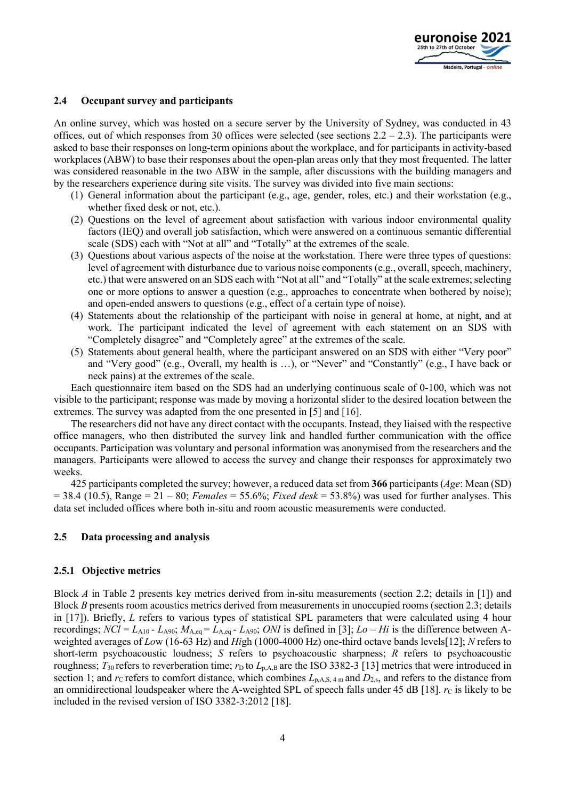

#### **2.4 Occupant survey and participants**

An online survey, which was hosted on a secure server by the University of Sydney, was conducted in 43 offices, out of which responses from 30 offices were selected (see sections  $2.2 - 2.3$ ). The participants were asked to base their responses on long-term opinions about the workplace, and for participants in activity-based workplaces (ABW) to base their responses about the open-plan areas only that they most frequented. The latter was considered reasonable in the two ABW in the sample, after discussions with the building managers and by the researchers experience during site visits. The survey was divided into five main sections:

- (1) General information about the participant (e.g., age, gender, roles, etc.) and their workstation (e.g., whether fixed desk or not, etc.).
- (2) Questions on the level of agreement about satisfaction with various indoor environmental quality factors (IEQ) and overall job satisfaction, which were answered on a continuous semantic differential scale (SDS) each with "Not at all" and "Totally" at the extremes of the scale.
- (3) Questions about various aspects of the noise at the workstation. There were three types of questions: level of agreement with disturbance due to various noise components (e.g., overall, speech, machinery, etc.) that were answered on an SDS each with "Not at all" and "Totally" at the scale extremes; selecting one or more options to answer a question (e.g., approaches to concentrate when bothered by noise); and open-ended answers to questions (e.g., effect of a certain type of noise).
- (4) Statements about the relationship of the participant with noise in general at home, at night, and at work. The participant indicated the level of agreement with each statement on an SDS with "Completely disagree" and "Completely agree" at the extremes of the scale.
- (5) Statements about general health, where the participant answered on an SDS with either "Very poor" and "Very good" (e.g., Overall, my health is …), or "Never" and "Constantly" (e.g., I have back or neck pains) at the extremes of the scale.

Each questionnaire item based on the SDS had an underlying continuous scale of 0-100, which was not visible to the participant; response was made by moving a horizontal slider to the desired location between the extremes. The survey was adapted from the one presented in [5] and [16].

The researchers did not have any direct contact with the occupants. Instead, they liaised with the respective office managers, who then distributed the survey link and handled further communication with the office occupants. Participation was voluntary and personal information was anonymised from the researchers and the managers. Participants were allowed to access the survey and change their responses for approximately two weeks.

425 participants completed the survey; however, a reduced data set from **366** participants (*Age*: Mean (SD)  $= 38.4$  (10.5), Range  $= 21 - 80$ ; *Females*  $= 55.6\%$ ; *Fixed desk*  $= 53.8\%$ ) was used for further analyses. This data set included offices where both in-situ and room acoustic measurements were conducted.

#### **2.5 Data processing and analysis**

#### **2.5.1 Objective metrics**

Block *A* in Table 2 presents key metrics derived from in-situ measurements (section 2.2; details in [1]) and Block *B* presents room acoustics metrics derived from measurements in unoccupied rooms (section 2.3; details in [17]). Briefly, *L* refers to various types of statistical SPL parameters that were calculated using 4 hour recordings;  $NCl = L_{A10} - L_{A90}$ ;  $M_{A,eq} = L_{A,eq} - L_{A90}$ ; *ONI* is defined in [3];  $Lo - Hi$  is the difference between Aweighted averages of *Lo*w (16-63 Hz) and *Hi*gh (1000-4000 Hz) one-third octave bands levels[12]; *N* refers to short-term psychoacoustic loudness; *S* refers to psychoacoustic sharpness; *R* refers to psychoacoustic roughness;  $T_{30}$  refers to reverberation time;  $r_D$  to  $L_{p,A,B}$  are the ISO 3382-3 [13] metrics that were introduced in section 1; and *r*<sub>C</sub> refers to comfort distance, which combines  $L_{p,A,S,4 \text{ m}}$  and  $D_{2,s}$ , and refers to the distance from an omnidirectional loudspeaker where the A-weighted SPL of speech falls under 45 dB [18]. *rc* is likely to be included in the revised version of ISO 3382-3:2012 [18].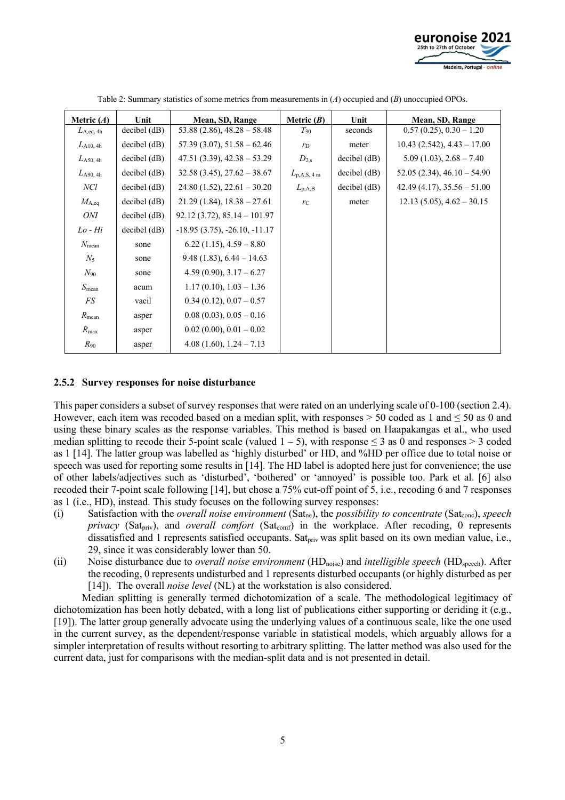

| Metric $(A)$       | Unit               | Mean, SD, Range                | Metric $(B)$          | Unit           | Mean, SD, Range                 |
|--------------------|--------------------|--------------------------------|-----------------------|----------------|---------------------------------|
| $L_{\rm A,eq, 4h}$ | decibel (dB)       | $53.88(2.86), 48.28 - 58.48$   | $T_{30}$              | seconds        | $0.57(0.25), 0.30-1.20$         |
| $L_{A10, 4h}$      | $decibel$ ( $dB$ ) | $57.39(3.07), 51.58 - 62.46$   | $r_D$                 | meter          | $10.43$ (2.542), $4.43 - 17.00$ |
| $L_{A50, 4h}$      | $decibel$ ( $dB$ ) | $47.51(3.39), 42.38 - 53.29$   | $D_{2,s}$             | $decibel$ (dB) | $5.09(1.03), 2.68 - 7.40$       |
| $L_{A90, 4h}$      | $decibel$ ( $dB$ ) | $32.58(3.45), 27.62-38.67$     | $L_{\rm p,A,S, 4\,m}$ | $decibel$ (dB) | $52.05(2.34), 46.10 - 54.90$    |
| NCl                | $decibel$ ( $dB$ ) | $24.80(1.52), 22.61-30.20$     | $L_{\rm p,A,B}$       | $decibel$ (dB) | $42.49(4.17), 35.56 - 51.00$    |
| $M_{A,eq}$         | $decibel$ ( $dB$ ) | $21.29(1.84), 18.38 - 27.61$   | $r_{\rm C}$           | meter          | $12.13(5.05), 4.62-30.15$       |
| ONI                | $decibel$ ( $dB$ ) | $92.12(3.72), 85.14 - 101.97$  |                       |                |                                 |
| $Lo$ - $Hi$        | $decibel$ ( $dB$ ) | $-18.95(3.75), -26.10, -11.17$ |                       |                |                                 |
| $N_{\text{mean}}$  | sone               | $6.22(1.15), 4.59-8.80$        |                       |                |                                 |
| $N_5$              | sone               | $9.48(1.83), 6.44-14.63$       |                       |                |                                 |
| $N_{90}$           | sone               | $4.59(0.90), 3.17-6.27$        |                       |                |                                 |
| $S_{\text{mean}}$  | acum               | $1.17(0.10), 1.03 - 1.36$      |                       |                |                                 |
| FS                 | vacil              | $0.34(0.12), 0.07-0.57$        |                       |                |                                 |
| $R_{\text{mean}}$  | asper              | $0.08(0.03), 0.05-0.16$        |                       |                |                                 |
| $R_{\rm max}$      | asper              | $0.02(0.00), 0.01-0.02$        |                       |                |                                 |
| $R_{90}$           | asper              | $4.08(1.60), 1.24-7.13$        |                       |                |                                 |

Table 2: Summary statistics of some metrics from measurements in (*A*) occupied and (*B*) unoccupied OPOs.

#### **2.5.2 Survey responses for noise disturbance**

This paper considers a subset of survey responses that were rated on an underlying scale of 0-100 (section 2.4). However, each item was recoded based on a median split, with responses  $> 50$  coded as 1 and  $\leq 50$  as 0 and using these binary scales as the response variables. This method is based on Haapakangas et al., who used median splitting to recode their 5-point scale (valued  $1 - 5$ ), with response  $\leq 3$  as 0 and responses  $> 3$  coded as 1 [14]. The latter group was labelled as 'highly disturbed' or HD, and %HD per office due to total noise or speech was used for reporting some results in [14]. The HD label is adopted here just for convenience; the use of other labels/adjectives such as 'disturbed', 'bothered' or 'annoyed' is possible too. Park et al. [6] also recoded their 7-point scale following [14], but chose a 75% cut-off point of 5, i.e., recoding 6 and 7 responses as 1 (i.e., HD), instead. This study focuses on the following survey responses:

- (i) Satisfaction with the *overall noise environment* (Sat<sub>ne</sub>), the *possibility to concentrate* (Sat<sub>conc</sub>), *speech privacy* (Sat<sub>priv</sub>), and *overall comfort* (Sat<sub>comf</sub>) in the workplace. After recoding, 0 represents dissatisfied and 1 represents satisfied occupants. Sat<sub>priv</sub> was split based on its own median value, i.e., 29, since it was considerably lower than 50.
- (ii) Noise disturbance due to *overall noise environment* (HDnoise) and *intelligible speech* (HDspeech). After the recoding, 0 represents undisturbed and 1 represents disturbed occupants (or highly disturbed as per [14]). The overall *noise level* (NL) at the workstation is also considered.

Median splitting is generally termed dichotomization of a scale. The methodological legitimacy of dichotomization has been hotly debated, with a long list of publications either supporting or deriding it (e.g., [19]). The latter group generally advocate using the underlying values of a continuous scale, like the one used in the current survey, as the dependent/response variable in statistical models, which arguably allows for a simpler interpretation of results without resorting to arbitrary splitting. The latter method was also used for the current data, just for comparisons with the median-split data and is not presented in detail.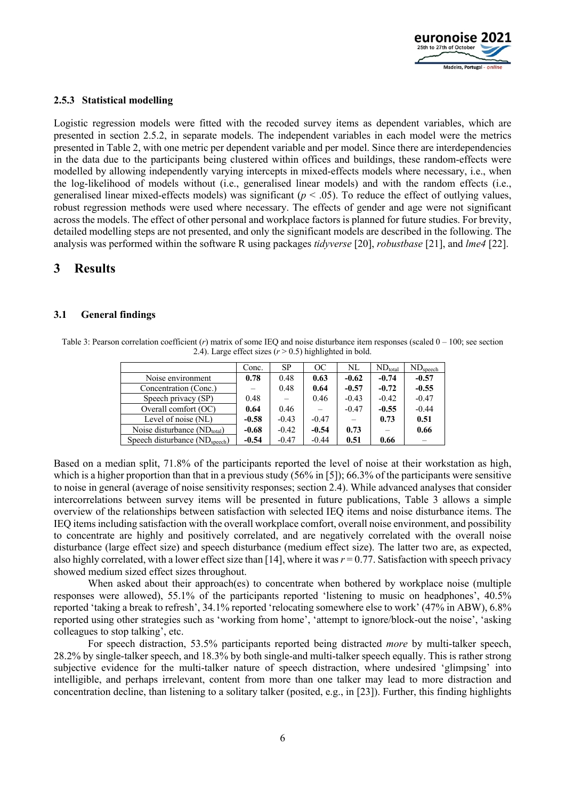

#### **2.5.3 Statistical modelling**

Logistic regression models were fitted with the recoded survey items as dependent variables, which are presented in section 2.5.2, in separate models. The independent variables in each model were the metrics presented in Table 2, with one metric per dependent variable and per model. Since there are interdependencies in the data due to the participants being clustered within offices and buildings, these random-effects were modelled by allowing independently varying intercepts in mixed-effects models where necessary, i.e., when the log-likelihood of models without (i.e., generalised linear models) and with the random effects (i.e., generalised linear mixed-effects models) was significant ( $p < .05$ ). To reduce the effect of outlying values, robust regression methods were used where necessary. The effects of gender and age were not significant across the models. The effect of other personal and workplace factors is planned for future studies. For brevity, detailed modelling steps are not presented, and only the significant models are described in the following. The analysis was performed within the software R using packages *tidyverse* [20], *robustbase* [21], and *lme4* [22].

# **3 Results**

#### **3.1 General findings**

Table 3: Pearson correlation coefficient (*r*) matrix of some IEQ and noise disturbance item responses (scaled 0 – 100; see section 2.4). Large effect sizes  $(r > 0.5)$  highlighted in bold.

|                                            | Conc.   | SP      | OC      | NL      | $ND_{total}$ | $ND_{\text{speech}}$ |
|--------------------------------------------|---------|---------|---------|---------|--------------|----------------------|
| Noise environment                          | 0.78    | 0.48    | 0.63    | $-0.62$ | $-0.74$      | $-0.57$              |
| Concentration (Conc.)                      |         | 0.48    | 0.64    | $-0.57$ | $-0.72$      | $-0.55$              |
| Speech privacy (SP)                        | 0.48    |         | 0.46    | $-0.43$ | $-0.42$      | $-0.47$              |
| Overall comfort (OC)                       | 0.64    | 0.46    |         | $-0.47$ | $-0.55$      | $-0.44$              |
| Level of noise (NL)                        | $-0.58$ | $-0.43$ | $-0.47$ |         | 0.73         | 0.51                 |
| Noise disturbance $(ND_{total})$           | $-0.68$ | $-0.42$ | $-0.54$ | 0.73    |              | 0.66                 |
| Speech disturbance (ND <sub>speech</sub> ) | $-0.54$ | $-0.47$ | $-0.44$ | 0.51    | 0.66         |                      |

Based on a median split, 71.8% of the participants reported the level of noise at their workstation as high, which is a higher proportion than that in a previous study (56% in [5]); 66.3% of the participants were sensitive to noise in general (average of noise sensitivity responses; section 2.4). While advanced analyses that consider intercorrelations between survey items will be presented in future publications, Table 3 allows a simple overview of the relationships between satisfaction with selected IEQ items and noise disturbance items. The IEQ items including satisfaction with the overall workplace comfort, overall noise environment, and possibility to concentrate are highly and positively correlated, and are negatively correlated with the overall noise disturbance (large effect size) and speech disturbance (medium effect size). The latter two are, as expected, also highly correlated, with a lower effect size than [14], where it was *r* = 0.77. Satisfaction with speech privacy showed medium sized effect sizes throughout.

When asked about their approach(es) to concentrate when bothered by workplace noise (multiple responses were allowed), 55.1% of the participants reported 'listening to music on headphones', 40.5% reported 'taking a break to refresh', 34.1% reported 'relocating somewhere else to work' (47% in ABW), 6.8% reported using other strategies such as 'working from home', 'attempt to ignore/block-out the noise', 'asking colleagues to stop talking', etc.

For speech distraction, 53.5% participants reported being distracted *more* by multi-talker speech, 28.2% by single-talker speech, and 18.3% by both single-and multi-talker speech equally. This is rather strong subjective evidence for the multi-talker nature of speech distraction, where undesired 'glimpsing' into intelligible, and perhaps irrelevant, content from more than one talker may lead to more distraction and concentration decline, than listening to a solitary talker (posited, e.g., in [23]). Further, this finding highlights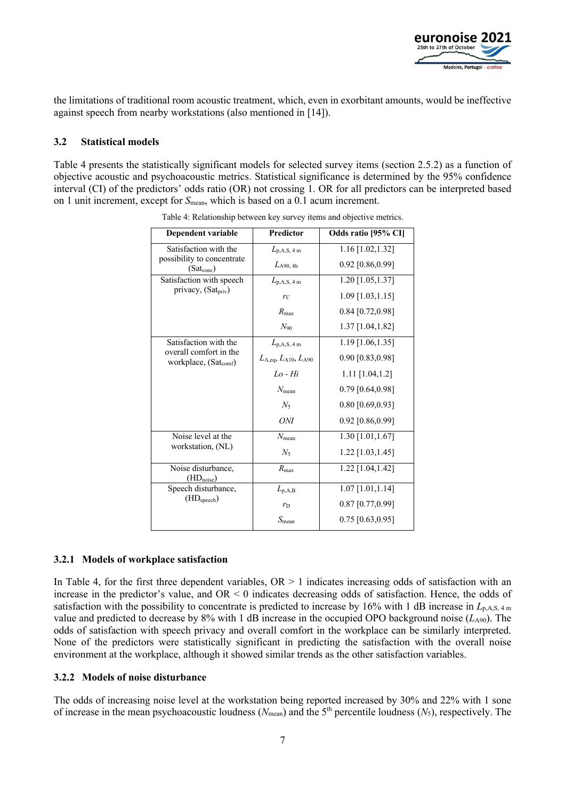

the limitations of traditional room acoustic treatment, which, even in exorbitant amounts, would be ineffective against speech from nearby workstations (also mentioned in [14]).

#### **3.2 Statistical models**

Table 4 presents the statistically significant models for selected survey items (section 2.5.2) as a function of objective acoustic and psychoacoustic metrics. Statistical significance is determined by the 95% confidence interval (CI) of the predictors' odds ratio (OR) not crossing 1. OR for all predictors can be interpreted based on 1 unit increment, except for  $S_{\text{mean}}$ , which is based on a 0.1 acum increment.

| Dependent variable                                          | <b>Predictor</b>                   | Odds ratio [95% CI] |
|-------------------------------------------------------------|------------------------------------|---------------------|
| Satisfaction with the                                       | $L_{\rm p,A,S, 4\,m}$              | $1.16$ [1.02,1.32]  |
| possibility to concentrate<br>$(Sat_{\rm conc})$            | $L_{A90, 4h}$                      | 0.92 [0.86,0.99]    |
| Satisfaction with speech                                    | $L_{\rm p,A,S, 4\,m}$              | 1.20 [1.05,1.37]    |
| privacy, (Sat <sub>priv</sub> )                             | $r_{\rm C}$                        | $1.09$ [1.03,1.15]  |
|                                                             | $R_{\text{max}}$                   | $0.84$ [0.72,0.98]  |
|                                                             | $N_{90}$                           | 1.37 [1.04,1.82]    |
| Satisfaction with the                                       | $L_{\rm p,A,S, 4\,m}$              | $1.19$ [1.06,1.35]  |
| overall comfort in the<br>workplace, (Sat <sub>comf</sub> ) | $L_{A,eq}$ , $L_{A10}$ , $L_{A90}$ | 0.90 [0.83,0.98]    |
|                                                             | $Lo$ - $Hi$                        | $1.11$ [1.04,1.2]   |
|                                                             | $N_{\text{mean}}$                  | $0.79$ [0.64,0.98]  |
|                                                             | $N_5$                              | $0.80$ [0.69,0.93]  |
|                                                             | ONI                                | 0.92 [0.86,0.99]    |
| Noise level at the                                          | $N_{\text{mean}}$                  | 1.30 [1.01,1.67]    |
| workstation, (NL)                                           | $N_5$                              | 1.22 [1.03,1.45]    |
| Noise disturbance,<br>$(\underline{HD}_{noise})$            | $R_{\text{max}}$                   | 1.22 [1.04,1.42]    |
| Speech disturbance,                                         | $L_{\rm p,A,B}$                    | 1.07 [1.01,1.14]    |
| (HD <sub>speech</sub> )                                     | $r_{\rm D}$                        | $0.87$ [0.77,0.99]  |
|                                                             | $S_{\text{mean}}$                  | $0.75$ [0.63,0.95]  |

Table 4: Relationship between key survey items and objective metrics.

#### **3.2.1 Models of workplace satisfaction**

In Table 4, for the first three dependent variables,  $OR > 1$  indicates increasing odds of satisfaction with an increase in the predictor's value, and OR < 0 indicates decreasing odds of satisfaction. Hence, the odds of satisfaction with the possibility to concentrate is predicted to increase by 16% with 1 dB increase in  $L_{p,A,S,4 \text{ m}}$ value and predicted to decrease by 8% with 1 dB increase in the occupied OPO background noise  $(L_{A90})$ . The odds of satisfaction with speech privacy and overall comfort in the workplace can be similarly interpreted. None of the predictors were statistically significant in predicting the satisfaction with the overall noise environment at the workplace, although it showed similar trends as the other satisfaction variables.

#### **3.2.2 Models of noise disturbance**

The odds of increasing noise level at the workstation being reported increased by 30% and 22% with 1 sone of increase in the mean psychoacoustic loudness ( $N_{\text{mean}}$ ) and the 5<sup>th</sup> percentile loudness ( $N_5$ ), respectively. The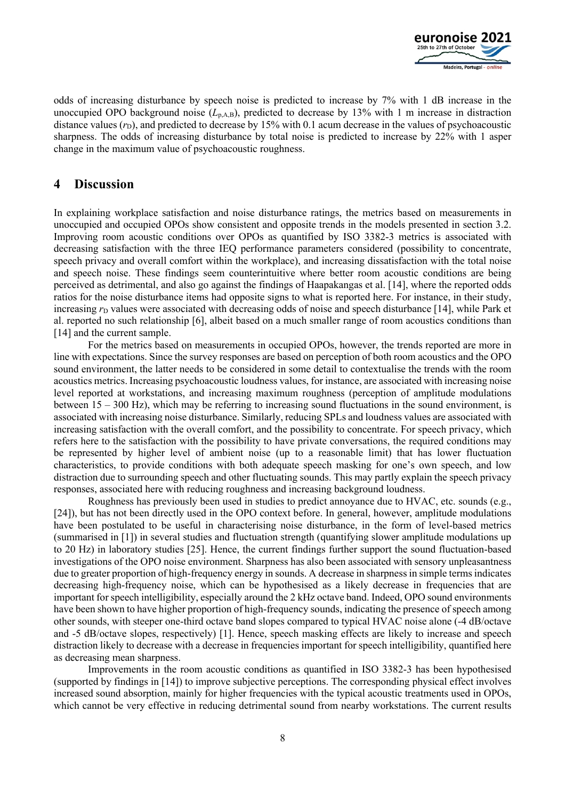

odds of increasing disturbance by speech noise is predicted to increase by 7% with 1 dB increase in the unoccupied OPO background noise (L<sub>p,A,B</sub>), predicted to decrease by 13% with 1 m increase in distraction distance values  $(r<sub>D</sub>)$ , and predicted to decrease by 15% with 0.1 acum decrease in the values of psychoacoustic sharpness. The odds of increasing disturbance by total noise is predicted to increase by 22% with 1 asper change in the maximum value of psychoacoustic roughness.

# **4 Discussion**

In explaining workplace satisfaction and noise disturbance ratings, the metrics based on measurements in unoccupied and occupied OPOs show consistent and opposite trends in the models presented in section 3.2. Improving room acoustic conditions over OPOs as quantified by ISO 3382-3 metrics is associated with decreasing satisfaction with the three IEQ performance parameters considered (possibility to concentrate, speech privacy and overall comfort within the workplace), and increasing dissatisfaction with the total noise and speech noise. These findings seem counterintuitive where better room acoustic conditions are being perceived as detrimental, and also go against the findings of Haapakangas et al. [14], where the reported odds ratios for the noise disturbance items had opposite signs to what is reported here. For instance, in their study, increasing  $r<sub>D</sub>$  values were associated with decreasing odds of noise and speech disturbance [14], while Park et al. reported no such relationship [6], albeit based on a much smaller range of room acoustics conditions than [14] and the current sample.

For the metrics based on measurements in occupied OPOs, however, the trends reported are more in line with expectations. Since the survey responses are based on perception of both room acoustics and the OPO sound environment, the latter needs to be considered in some detail to contextualise the trends with the room acoustics metrics. Increasing psychoacoustic loudness values, for instance, are associated with increasing noise level reported at workstations, and increasing maximum roughness (perception of amplitude modulations between 15 – 300 Hz), which may be referring to increasing sound fluctuations in the sound environment, is associated with increasing noise disturbance. Similarly, reducing SPLs and loudness values are associated with increasing satisfaction with the overall comfort, and the possibility to concentrate. For speech privacy, which refers here to the satisfaction with the possibility to have private conversations, the required conditions may be represented by higher level of ambient noise (up to a reasonable limit) that has lower fluctuation characteristics, to provide conditions with both adequate speech masking for one's own speech, and low distraction due to surrounding speech and other fluctuating sounds. This may partly explain the speech privacy responses, associated here with reducing roughness and increasing background loudness.

Roughness has previously been used in studies to predict annoyance due to HVAC, etc. sounds (e.g., [24]), but has not been directly used in the OPO context before. In general, however, amplitude modulations have been postulated to be useful in characterising noise disturbance, in the form of level-based metrics (summarised in [1]) in several studies and fluctuation strength (quantifying slower amplitude modulations up to 20 Hz) in laboratory studies [25]. Hence, the current findings further support the sound fluctuation-based investigations of the OPO noise environment. Sharpness has also been associated with sensory unpleasantness due to greater proportion of high-frequency energy in sounds. A decrease in sharpness in simple terms indicates decreasing high-frequency noise, which can be hypothesised as a likely decrease in frequencies that are important for speech intelligibility, especially around the 2 kHz octave band. Indeed, OPO sound environments have been shown to have higher proportion of high-frequency sounds, indicating the presence of speech among other sounds, with steeper one-third octave band slopes compared to typical HVAC noise alone (-4 dB/octave and -5 dB/octave slopes, respectively) [1]. Hence, speech masking effects are likely to increase and speech distraction likely to decrease with a decrease in frequencies important for speech intelligibility, quantified here as decreasing mean sharpness.

Improvements in the room acoustic conditions as quantified in ISO 3382-3 has been hypothesised (supported by findings in [14]) to improve subjective perceptions. The corresponding physical effect involves increased sound absorption, mainly for higher frequencies with the typical acoustic treatments used in OPOs, which cannot be very effective in reducing detrimental sound from nearby workstations. The current results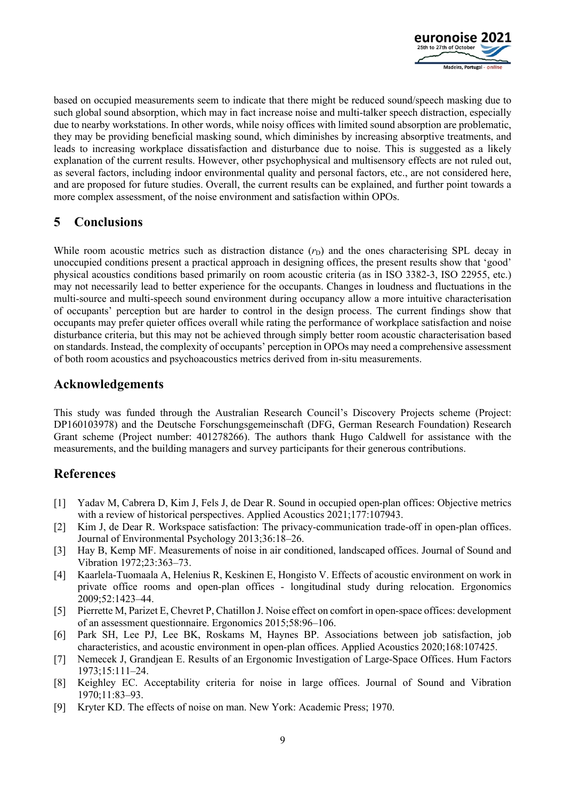

based on occupied measurements seem to indicate that there might be reduced sound/speech masking due to such global sound absorption, which may in fact increase noise and multi-talker speech distraction, especially due to nearby workstations. In other words, while noisy offices with limited sound absorption are problematic, they may be providing beneficial masking sound, which diminishes by increasing absorptive treatments, and leads to increasing workplace dissatisfaction and disturbance due to noise. This is suggested as a likely explanation of the current results. However, other psychophysical and multisensory effects are not ruled out, as several factors, including indoor environmental quality and personal factors, etc., are not considered here, and are proposed for future studies. Overall, the current results can be explained, and further point towards a more complex assessment, of the noise environment and satisfaction within OPOs.

# **5 Conclusions**

While room acoustic metrics such as distraction distance  $(r<sub>D</sub>)$  and the ones characterising SPL decay in unoccupied conditions present a practical approach in designing offices, the present results show that 'good' physical acoustics conditions based primarily on room acoustic criteria (as in ISO 3382-3, ISO 22955, etc.) may not necessarily lead to better experience for the occupants. Changes in loudness and fluctuations in the multi-source and multi-speech sound environment during occupancy allow a more intuitive characterisation of occupants' perception but are harder to control in the design process. The current findings show that occupants may prefer quieter offices overall while rating the performance of workplace satisfaction and noise disturbance criteria, but this may not be achieved through simply better room acoustic characterisation based on standards. Instead, the complexity of occupants' perception in OPOs may need a comprehensive assessment of both room acoustics and psychoacoustics metrics derived from in-situ measurements.

# **Acknowledgements**

This study was funded through the Australian Research Council's Discovery Projects scheme (Project: DP160103978) and the Deutsche Forschungsgemeinschaft (DFG, German Research Foundation) Research Grant scheme (Project number: 401278266). The authors thank Hugo Caldwell for assistance with the measurements, and the building managers and survey participants for their generous contributions.

# **References**

- [1] Yadav M, Cabrera D, Kim J, Fels J, de Dear R. Sound in occupied open-plan offices: Objective metrics with a review of historical perspectives. Applied Acoustics 2021;177:107943.
- [2] Kim J, de Dear R. Workspace satisfaction: The privacy-communication trade-off in open-plan offices. Journal of Environmental Psychology 2013;36:18–26.
- [3] Hay B, Kemp MF. Measurements of noise in air conditioned, landscaped offices. Journal of Sound and Vibration 1972;23:363–73.
- [4] Kaarlela-Tuomaala A, Helenius R, Keskinen E, Hongisto V. Effects of acoustic environment on work in private office rooms and open-plan offices - longitudinal study during relocation. Ergonomics 2009;52:1423–44.
- [5] Pierrette M, Parizet E, Chevret P, Chatillon J. Noise effect on comfort in open-space offices: development of an assessment questionnaire. Ergonomics 2015;58:96–106.
- [6] Park SH, Lee PJ, Lee BK, Roskams M, Haynes BP. Associations between job satisfaction, job characteristics, and acoustic environment in open-plan offices. Applied Acoustics 2020;168:107425.
- [7] Nemecek J, Grandjean E. Results of an Ergonomic Investigation of Large-Space Offices. Hum Factors 1973;15:111–24.
- [8] Keighley EC. Acceptability criteria for noise in large offices. Journal of Sound and Vibration 1970;11:83–93.
- [9] Kryter KD. The effects of noise on man. New York: Academic Press; 1970.